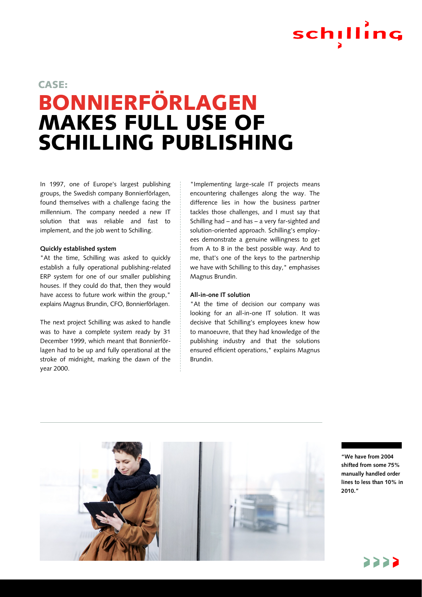# schilling

### BONNIERFÖRLAGEN MAKES FULL USE OF SCHILLING PUBLISHING CASE:

In 1997, one of Europe's largest publishing groups, the Swedish company Bonnierförlagen, found themselves with a challenge facing the millennium. The company needed a new IT solution that was reliable and fast to implement, and the job went to Schilling.

#### **Quickly established system**

"At the time, Schilling was asked to quickly establish a fully operational publishing-related ERP system for one of our smaller publishing houses. If they could do that, then they would have access to future work within the group," explains Magnus Brundin, CFO, Bonnierförlagen.

The next project Schilling was asked to handle was to have a complete system ready by 31 December 1999, which meant that Bonnierförlagen had to be up and fully operational at the stroke of midnight, marking the dawn of the year 2000.

"Implementing large-scale IT projects means encountering challenges along the way. The difference lies in how the business partner tackles those challenges, and I must say that Schilling had – and has – a very far-sighted and solution-oriented approach. Schilling's employees demonstrate a genuine willingness to get from A to B in the best possible way. And to me, that's one of the keys to the partnership we have with Schilling to this day," emphasises Magnus Brundin.

#### **All-in-one IT solution**

"At the time of decision our company was looking for an all-in-one IT solution. It was decisive that Schilling's employees knew how to manoeuvre, that they had knowledge of the publishing industry and that the solutions ensured efficient operations," explains Magnus Brundin.



**"We have from 2004 shifted from some 75% manually handled order lines to less than 10% in 2010."**